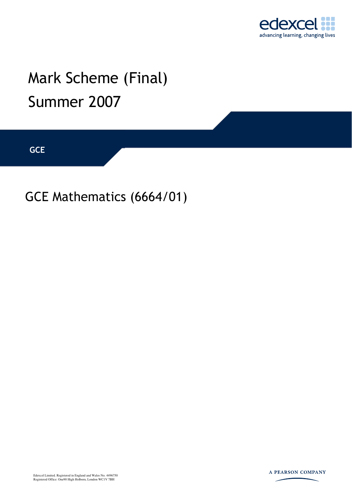

# Mark Scheme (Final) Summer 2007

**GCE** 

GCE Mathematics (6664/01)

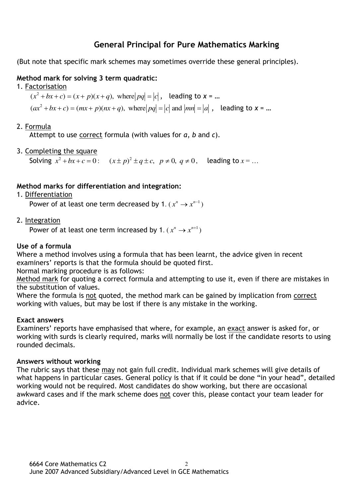# **General Principal for Pure Mathematics Marking**

(But note that specific mark schemes may sometimes override these general principles).

## **Method mark for solving 3 term quadratic:**

1. Factorisation

 $(x^2 + bx + c) = (x + p)(x + q)$ , where  $|pq| = |c|$ , leading to  $x = ...$ 

 $(ax^2 + bx + c) = (mx + p)(nx + q)$ , where  $|pq| = |c|$  and  $|mn| = |a|$ , leading to  $x = ...$ 

## 2. Formula

Attempt to use correct formula (with values for *a*, *b* and *c*).

3. Completing the square

Solving  $x^2 + bx + c = 0$ :  $(x \pm p)^2 \pm q \pm c$ ,  $p \neq 0$ ,  $q \neq 0$ , leading to  $x = ...$ 

## **Method marks for differentiation and integration:**

1. Differentiation

Power of at least one term decreased by 1.  $(x^n \rightarrow x^{n-1})$ 

2. Integration

Power of at least one term increased by 1.  $(x^n \rightarrow x^{n+1})$ 

#### **Use of a formula**

Where a method involves using a formula that has been learnt, the advice given in recent examiners' reports is that the formula should be quoted first.

Normal marking procedure is as follows:

Method mark for quoting a correct formula and attempting to use it, even if there are mistakes in the substitution of values.

Where the formula is not quoted, the method mark can be gained by implication from correct working with values, but may be lost if there is any mistake in the working.

#### **Exact answers**

Examiners' reports have emphasised that where, for example, an exact answer is asked for, or working with surds is clearly required, marks will normally be lost if the candidate resorts to using rounded decimals.

#### **Answers without working**

The rubric says that these may not gain full credit. Individual mark schemes will give details of what happens in particular cases. General policy is that if it could be done "in your head", detailed working would not be required. Most candidates do show working, but there are occasional awkward cases and if the mark scheme does not cover this, please contact your team leader for advice.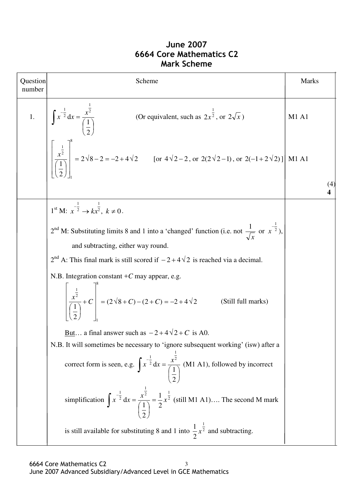# **June 2007 6664 Core Mathematics C2 Mark Scheme**

| Question<br>number | Scheme                                                                                                                                                                                                                                                                                                                          | Marks |
|--------------------|---------------------------------------------------------------------------------------------------------------------------------------------------------------------------------------------------------------------------------------------------------------------------------------------------------------------------------|-------|
|                    |                                                                                                                                                                                                                                                                                                                                 |       |
|                    | 1. $\int x^{-\frac{1}{2}} dx = \frac{x^{\frac{1}{2}}}{\left(\frac{1}{2}\right)}$ (Or equivalent, such as $2x^{\frac{1}{2}}$ , or $2\sqrt{x}$ ) M1 A1<br>$\left[\frac{x^{\frac{1}{2}}}{\left(\frac{1}{2}\right)}\right]^{8} = 2\sqrt{8}-2 = -2+4\sqrt{2}$ [or $4\sqrt{2}-2$ , or $2(2\sqrt{2}-1)$ , or $2(-1+2\sqrt{2})$ ] M1 A1 | (4)   |
|                    |                                                                                                                                                                                                                                                                                                                                 |       |
|                    | $1^{\text{st}} M: x^{\frac{-1}{2}} \to kx^{\frac{1}{2}}, k \neq 0.$                                                                                                                                                                                                                                                             |       |
|                    | $2nd$ M: Substituting limits 8 and 1 into a 'changed' function (i.e. not $\frac{1}{\sqrt{x}}$ or $x^{-\frac{1}{2}}$ ),                                                                                                                                                                                                          |       |
|                    | and subtracting, either way round.                                                                                                                                                                                                                                                                                              |       |
|                    | $2nd$ A: This final mark is still scored if $-2+4\sqrt{2}$ is reached via a decimal.                                                                                                                                                                                                                                            |       |
|                    | N.B. Integration constant $+C$ may appear, e.g.<br>$\left[\frac{\frac{1}{x^2}}{\frac{1}{x^2}} + C\right] = (2\sqrt{8} + C) - (2 + C) = -2 + 4\sqrt{2}$<br>(Still full marks)                                                                                                                                                    |       |
|                    | <u>But</u> a final answer such as $-2+4\sqrt{2}+C$ is A0.                                                                                                                                                                                                                                                                       |       |
|                    | N.B. It will sometimes be necessary to 'ignore subsequent working' (isw) after a                                                                                                                                                                                                                                                |       |
|                    | correct form is seen, e.g. $\int x^{-\frac{1}{2}} dx = \frac{x^{\frac{1}{2}}}{\left(\frac{1}{2}\right)}$ (M1 A1), followed by incorrect                                                                                                                                                                                         |       |
|                    | simplification $\int x^{-\frac{1}{2}} dx = \frac{x^{\frac{1}{2}}}{\left(\frac{1}{2}\right)} = \frac{1}{2} x^{\frac{1}{2}}$ (still M1 A1) The second M mark                                                                                                                                                                      |       |
|                    | is still available for substituting 8 and 1 into $\frac{1}{2}x^{\frac{1}{2}}$ and subtracting.                                                                                                                                                                                                                                  |       |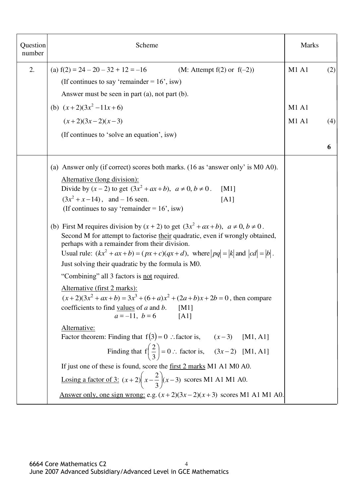| Question<br>number | Scheme                                                                                                                                                                                                                                                                                                                                                                                                                                                                                                                                                                                                                                                                                                                                                                                                                                                                                                                                                                                                                                                                                                                                                                                                                                                                                                                    | <b>Marks</b> |          |
|--------------------|---------------------------------------------------------------------------------------------------------------------------------------------------------------------------------------------------------------------------------------------------------------------------------------------------------------------------------------------------------------------------------------------------------------------------------------------------------------------------------------------------------------------------------------------------------------------------------------------------------------------------------------------------------------------------------------------------------------------------------------------------------------------------------------------------------------------------------------------------------------------------------------------------------------------------------------------------------------------------------------------------------------------------------------------------------------------------------------------------------------------------------------------------------------------------------------------------------------------------------------------------------------------------------------------------------------------------|--------------|----------|
| 2.                 | (a) $f(2) = 24 - 20 - 32 + 12 = -16$<br>(M: Attempt $f(2)$ or $f(-2)$ )<br>(If continues to say 'remainder = $16'$ , isw)<br>Answer must be seen in part (a), not part (b).                                                                                                                                                                                                                                                                                                                                                                                                                                                                                                                                                                                                                                                                                                                                                                                                                                                                                                                                                                                                                                                                                                                                               | <b>M1 A1</b> | (2)      |
|                    | (b) $(x+2)(3x^2-11x+6)$                                                                                                                                                                                                                                                                                                                                                                                                                                                                                                                                                                                                                                                                                                                                                                                                                                                                                                                                                                                                                                                                                                                                                                                                                                                                                                   | <b>M1 A1</b> |          |
|                    | $(x+2)(3x-2)(x-3)$<br>(If continues to 'solve an equation', isw)                                                                                                                                                                                                                                                                                                                                                                                                                                                                                                                                                                                                                                                                                                                                                                                                                                                                                                                                                                                                                                                                                                                                                                                                                                                          | <b>M1 A1</b> | (4)<br>6 |
|                    | (a) Answer only (if correct) scores both marks. (16 as 'answer only' is M0 A0).<br>Alternative (long division):<br>Divide by $(x - 2)$ to get $(3x^2 + ax + b)$ , $a \ne 0$ , $b \ne 0$ .<br>[M1]<br>$(3x^2 + x - 14)$ , and - 16 seen.<br>[A1]<br>(If continues to say 'remainder = $16'$ , isw)<br>(b) First M requires division by $(x + 2)$ to get $(3x^2 + ax + b)$ , $a \ne 0$ , $b \ne 0$ .<br>Second M for attempt to factorise their quadratic, even if wrongly obtained,<br>perhaps with a remainder from their division.<br>Usual rule: $(kx^2 + ax + b) = (px + c)(qx + d)$ , where $ pq  =  k $ and $ cd  =  b $ .<br>Just solving their quadratic by the formula is M0.<br>"Combining" all 3 factors is not required.<br>Alternative (first 2 marks):<br>$(x+2)(3x^2+ax+b) = 3x^3+(6+a)x^2+(2a+b)x+2b = 0$ , then compare<br>coefficients to find values of $a$ and $b$ . [M1]<br>$a = -11, b = 6$ [A1]<br>Alternative:<br>Factor theorem: Finding that $f(3) = 0$ : factor is, $(x-3)$ [M1, A1]<br>Finding that $f(\frac{2}{3}) = 0$ : factor is, $(3x-2)$ [M1, A1]<br>If just one of these is found, score the first 2 marks M1 A1 M0 A0.<br>Losing a factor of 3: $(x+2)\left(x-\frac{2}{3}\right)(x-3)$ scores M1 A1 M1 A0.<br>Answer only, one sign wrong: e.g. $(x+2)(3x-2)(x+3)$ scores M1 A1 M1 A0. |              |          |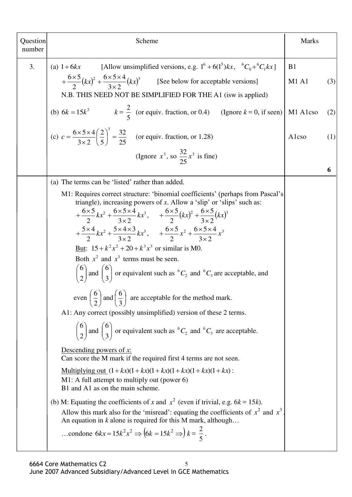| Question<br>number | Scheme                                                                                                                                                                                                                                                                                                                                                                                                                                                                                                                                                                                                                                                                                                                                                                                                                                                                                                                                                   | <b>Marks</b>       |     |
|--------------------|----------------------------------------------------------------------------------------------------------------------------------------------------------------------------------------------------------------------------------------------------------------------------------------------------------------------------------------------------------------------------------------------------------------------------------------------------------------------------------------------------------------------------------------------------------------------------------------------------------------------------------------------------------------------------------------------------------------------------------------------------------------------------------------------------------------------------------------------------------------------------------------------------------------------------------------------------------|--------------------|-----|
| 3.                 | [Allow unsimplified versions, e.g. $1^6 + 6(1^5)kx$ , ${}^6C_0 + {}^6C_1kx$ ]<br>(a) $1+6kx$<br>$+\frac{6\times5}{2}(kx)^2+\frac{6\times5\times4}{3\times2}(kx)^3$ [See below for acceptable versions]<br>N.B. THIS NEED NOT BE SIMPLIFIED FOR THE A1 (isw is applied)                                                                                                                                                                                                                                                                                                                                                                                                                                                                                                                                                                                                                                                                                   | B1<br><b>M1 A1</b> | (3) |
|                    | (b) $6k = 15k^2$ $k = \frac{2}{5}$ (or equiv. fraction, or 0.4) (Ignore $k = 0$ , if seen)                                                                                                                                                                                                                                                                                                                                                                                                                                                                                                                                                                                                                                                                                                                                                                                                                                                               | M1 A1cso           | (2) |
|                    | (c) $c = \frac{6 \times 5 \times 4}{3 \times 2} \left(\frac{2}{5}\right)^3 = \frac{32}{25}$ (or equiv. fraction, or 1.28)                                                                                                                                                                                                                                                                                                                                                                                                                                                                                                                                                                                                                                                                                                                                                                                                                                | Alcso              | (1) |
|                    | (Ignore $x^3$ , so $\frac{32}{25}x^3$ is fine)                                                                                                                                                                                                                                                                                                                                                                                                                                                                                                                                                                                                                                                                                                                                                                                                                                                                                                           |                    | 6   |
|                    | (a) The terms can be 'listed' rather than added.                                                                                                                                                                                                                                                                                                                                                                                                                                                                                                                                                                                                                                                                                                                                                                                                                                                                                                         |                    |     |
|                    | M1: Requires correct structure: 'binomial coefficients' (perhaps from Pascal's<br>triangle), increasing powers of $x$ . Allow a 'slip' or 'slips' such as:<br>$+\frac{6\times5}{2}kx^2+\frac{6\times5\times4}{3\times2}kx^3$ , $+\frac{6\times5}{2}(kx)^2+\frac{6\times5}{3\times2}(kx)^3$<br>$+\frac{5\times4}{2}kx^2+\frac{5\times4\times3}{3\times2}kx^3$ , $+\frac{6\times5}{2}x^2+\frac{6\times5\times4}{3\times2}x^3$<br>But: $15 + k^2 x^2 + 20 + k^3 x^3$ or similar is M0.<br>Both $x^2$ and $x^3$ terms must be seen.<br>$\binom{6}{2}$ and $\binom{6}{3}$ or equivalent such as ${}^6C_2$ and ${}^6C_3$ are acceptable, and<br>even $\left(\frac{6}{2}\right)$ and $\left(\frac{6}{3}\right)$ are acceptable for the method mark.<br>A1: Any correct (possibly unsimplified) version of these 2 terms.<br>$\binom{6}{2}$ and $\binom{6}{3}$ or equivalent such as <sup>6</sup> C <sub>2</sub> and <sup>6</sup> C <sub>3</sub> are acceptable. |                    |     |
|                    | Descending powers of $x$ :<br>Can score the M mark if the required first 4 terms are not seen.<br><u>Multiplying out</u> $(1 + kx)(1 + kx)(1 + kx)(1 + kx)(1 + kx)$ :<br>M1: A full attempt to multiply out (power $6$ )<br>B1 and A1 as on the main scheme.<br>(b) M: Equating the coefficients of x and $x^2$ (even if trivial, e.g. $6k = 15k$ ).<br>Allow this mark also for the 'misread': equating the coefficients of $x^2$ and $x^3$<br>An equation in $k$ alone is required for this M mark, although<br>condone $6kx = 15k^2x^2 \Rightarrow (6k = 15k^2 \Rightarrow) k = \frac{2}{5}$ .                                                                                                                                                                                                                                                                                                                                                        |                    |     |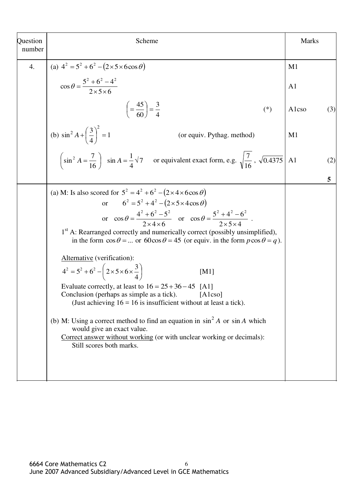| Question<br>number | Scheme                                                                                                                                                                                                                                                                                                                                                                                                                                                                                                                                                                                                                                                                                                                                                                                                                                                                                                                                                                                                           | <b>Marks</b>   |     |
|--------------------|------------------------------------------------------------------------------------------------------------------------------------------------------------------------------------------------------------------------------------------------------------------------------------------------------------------------------------------------------------------------------------------------------------------------------------------------------------------------------------------------------------------------------------------------------------------------------------------------------------------------------------------------------------------------------------------------------------------------------------------------------------------------------------------------------------------------------------------------------------------------------------------------------------------------------------------------------------------------------------------------------------------|----------------|-----|
| 4.                 | (a) $4^2 = 5^2 + 6^2 - (2 \times 5 \times 6 \cos \theta)$                                                                                                                                                                                                                                                                                                                                                                                                                                                                                                                                                                                                                                                                                                                                                                                                                                                                                                                                                        | M1             |     |
|                    | $\cos \theta = \frac{5^2 + 6^2 - 4^2}{2 \times 5 \times 6}$                                                                                                                                                                                                                                                                                                                                                                                                                                                                                                                                                                                                                                                                                                                                                                                                                                                                                                                                                      | A <sub>1</sub> |     |
|                    | $\left(=\frac{45}{60}\right)=\frac{3}{4}$<br>$(*)$                                                                                                                                                                                                                                                                                                                                                                                                                                                                                                                                                                                                                                                                                                                                                                                                                                                                                                                                                               | Alcso          | (3) |
|                    | (b) $\sin^2 A + \left(\frac{3}{4}\right)^2 = 1$<br>(or equiv. Pythag. method)                                                                                                                                                                                                                                                                                                                                                                                                                                                                                                                                                                                                                                                                                                                                                                                                                                                                                                                                    | M <sub>1</sub> |     |
|                    | $\left(\sin^2 A = \frac{7}{16}\right)$ sin $A = \frac{1}{4}\sqrt{7}$ or equivalent exact form, e.g. $\sqrt{\frac{7}{16}}$ , $\sqrt{0.4375}$                                                                                                                                                                                                                                                                                                                                                                                                                                                                                                                                                                                                                                                                                                                                                                                                                                                                      | A1             | (2) |
|                    |                                                                                                                                                                                                                                                                                                                                                                                                                                                                                                                                                                                                                                                                                                                                                                                                                                                                                                                                                                                                                  |                | 5   |
|                    | (a) M: Is also scored for $5^2 = 4^2 + 6^2 - (2 \times 4 \times 6 \cos \theta)$<br>$6^2 = 5^2 + 4^2 - (2 \times 5 \times 4 \cos \theta)$<br>$\alpha$<br>or $\cos \theta = \frac{4^2 + 6^2 - 5^2}{2 \times 4 \times 6}$ or $\cos \theta = \frac{5^2 + 4^2 - 6^2}{2 \times 5 \times 4}$ .<br>1st A: Rearranged correctly and numerically correct (possibly unsimplified),<br>in the form $\cos \theta = $ or $60 \cos \theta = 45$ (or equiv. in the form $p \cos \theta = q$ ).<br>Alternative (verification):<br>$4^2 = 5^2 + 6^2 - \left(2 \times 5 \times 6 \times \frac{3}{4}\right)$<br>[M1]<br>Evaluate correctly, at least to $16 = 25 + 36 - 45$ [A1]<br>Conclusion (perhaps as simple as a tick). [A1cso]<br>(Just achieving $16 = 16$ is insufficient without at least a tick).<br>(b) M: Using a correct method to find an equation in $\sin^2 A$ or $\sin A$ which<br>would give an exact value.<br>Correct answer without working (or with unclear working or decimals):<br>Still scores both marks. |                |     |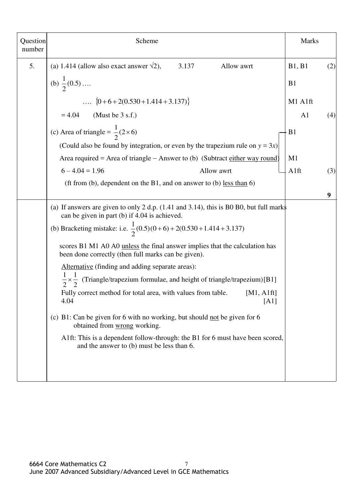| Question<br>number | Scheme                                                                                                                                                           | <b>Marks</b>   |     |
|--------------------|------------------------------------------------------------------------------------------------------------------------------------------------------------------|----------------|-----|
| 5.                 | (a) 1.414 (allow also exact answer $\sqrt{2}$ ),<br>3.137<br>Allow awrt                                                                                          | B1, B1         | (2) |
|                    | (b) $\frac{1}{2}(0.5)$                                                                                                                                           | B <sub>1</sub> |     |
|                    | $\{0+6+2(0.530+1.414+3.137)\}$                                                                                                                                   | M1 A1ft        |     |
|                    | $= 4.04$ (Must be 3 s.f.)                                                                                                                                        | A1             | (4) |
|                    | (c) Area of triangle = $\frac{1}{2}(2 \times 6)$                                                                                                                 | B <sub>1</sub> |     |
|                    | (Could also be found by integration, or even by the trapezium rule on $y = 3x$ )<br>Area required = Area of triangle – Answer to (b) (Subtract either way round) | M <sub>1</sub> |     |
|                    | $6 - 4.04 = 1.96$<br>Allow awrt                                                                                                                                  | A1ft           | (3) |
|                    | (ft from (b), dependent on the B1, and on answer to (b) <u>less than</u> $6$ )                                                                                   |                |     |
|                    |                                                                                                                                                                  |                | 9   |
|                    | (a) If answers are given to only 2 d.p. $(1.41 \text{ and } 3.14)$ , this is B0 B0, but full marks<br>can be given in part (b) if 4.04 is achieved.              |                |     |
|                    | (b) Bracketing mistake: i.e. $\frac{1}{2}(0.5)(0+6) + 2(0.530 + 1.414 + 3.137)$                                                                                  |                |     |
|                    | scores B1 M1 A0 A0 <u>unless</u> the final answer implies that the calculation has<br>been done correctly (then full marks can be given).                        |                |     |
|                    | Alternative (finding and adding separate areas):                                                                                                                 |                |     |
|                    | $\frac{1}{2} \times \frac{1}{2}$ (Triangle/trapezium formulae, and height of triangle/trapezium)[B1]                                                             |                |     |
|                    | Fully correct method for total area, with values from table.<br>[M1, A1ft]<br>4.04<br>[A1]                                                                       |                |     |
|                    | (c) B1: Can be given for 6 with no working, but should not be given for 6<br>obtained from wrong working.                                                        |                |     |
|                    | A1ft: This is a dependent follow-through: the B1 for 6 must have been scored,<br>and the answer to (b) must be less than 6.                                      |                |     |
|                    |                                                                                                                                                                  |                |     |
|                    |                                                                                                                                                                  |                |     |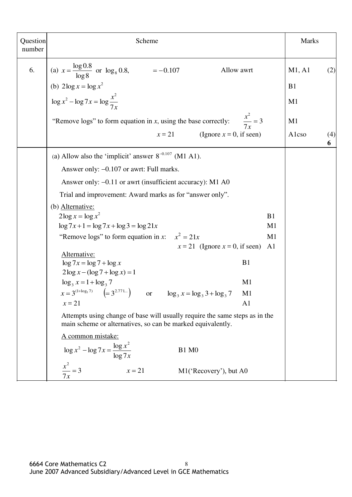| Question<br>number | Scheme                                                                                                                                     |                      | <b>Marks</b>   |          |
|--------------------|--------------------------------------------------------------------------------------------------------------------------------------------|----------------------|----------------|----------|
| 6.                 | (a) $x = \frac{\log 0.8}{\log 8}$ or $\log_8 0.8$ , $= -0.107$<br>Allow awrt                                                               |                      | M1, A1         | (2)      |
|                    |                                                                                                                                            |                      | B1             |          |
|                    | (b) $2\log x = \log x^2$<br>$\log x^2 - \log 7x = \log \frac{x^2}{7x}$                                                                     |                      | M <sub>1</sub> |          |
|                    | "Remove logs" to form equation in $x$ , using the base correctly:                                                                          | $\frac{x^2}{7x} = 3$ | M1             |          |
|                    | $x=21$<br>(Ignore $x = 0$ , if seen)                                                                                                       |                      | Alcso          | (4)<br>6 |
|                    | (a) Allow also the 'implicit' answer $8^{-0.107}$ (M1 A1).                                                                                 |                      |                |          |
|                    | Answer only: -0.107 or awrt: Full marks.                                                                                                   |                      |                |          |
|                    | Answer only: -0.11 or awrt (insufficient accuracy): M1 A0                                                                                  |                      |                |          |
|                    | Trial and improvement: Award marks as for "answer only".                                                                                   |                      |                |          |
|                    | (b) Alternative:                                                                                                                           |                      |                |          |
|                    | $2\log x = \log x^2$                                                                                                                       | B1                   |                |          |
|                    | $\log 7x + 1 = \log 7x + \log 3 = \log 21x$                                                                                                | M1                   |                |          |
|                    | "Remove logs" to form equation in x: $x^2 = 21x$                                                                                           | M1                   |                |          |
|                    | $x = 21$ (Ignore $x = 0$ , if seen)                                                                                                        | A1                   |                |          |
|                    | Alternative:<br>$\log 7x = \log 7 + \log x$                                                                                                | B1                   |                |          |
|                    | $2\log x - (\log 7 + \log x) = 1$                                                                                                          |                      |                |          |
|                    | $\log_3 x = 1 + \log_3 7$                                                                                                                  | M1                   |                |          |
|                    | $x = 3^{(1+\log_3 7)}$ $\left(= 3^{2.771}\right)$ or $\log_3 x = \log_3 3 + \log_3 7$                                                      | M1                   |                |          |
|                    | $x = 21$                                                                                                                                   | A <sub>1</sub>       |                |          |
|                    | Attempts using change of base will usually require the same steps as in the<br>main scheme or alternatives, so can be marked equivalently. |                      |                |          |
|                    | A common mistake:                                                                                                                          |                      |                |          |
|                    | $\log x^2 - \log 7x = \frac{\log x^2}{\log 7x}$<br><b>B1 M0</b>                                                                            |                      |                |          |
|                    | $\frac{x^2}{7x} = 3$<br>$x = 21$<br>M1('Recovery'), but A0                                                                                 |                      |                |          |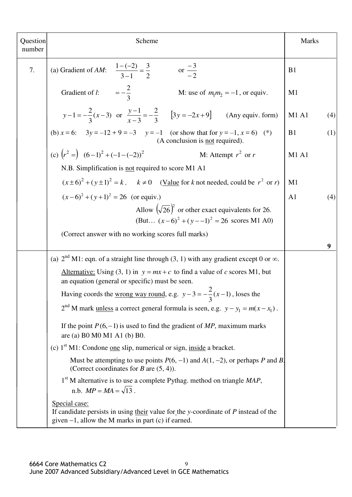| Question<br>number | Scheme                                                                                                                                                          |                |     |
|--------------------|-----------------------------------------------------------------------------------------------------------------------------------------------------------------|----------------|-----|
| 7.                 | (a) Gradient of AM: $\frac{1-(-2)}{3-1} = \frac{3}{2}$ or $\frac{-3}{2}$                                                                                        | B <sub>1</sub> |     |
|                    | Gradient of <i>l</i> : $= -\frac{2}{2}$<br>M: use of $m_1m_2 = -1$ , or equiv.                                                                                  | M <sub>1</sub> |     |
|                    | $y-1=-\frac{2}{3}(x-3)$ or $\frac{y-1}{x-3}=-\frac{2}{3}$ [3y = -2x+9] (Any equiv. form)                                                                        | <b>M1 A1</b>   | (4) |
|                    | (b) $x = 6$ : $3y = -12 + 9 = -3$ $y = -1$ (or show that for $y = -1$ , $x = 6$ ) (*)<br>(A conclusion is <u>not</u> required).                                 | B1             | (1) |
|                    | (c) $(r^2 = (6-1)^2 + (-1-(-2))^2$<br>M: Attempt $r^2$ or r                                                                                                     | <b>M1 A1</b>   |     |
|                    | N.B. Simplification is not required to score M1 A1                                                                                                              |                |     |
|                    | $(x\pm 6)^2 + (y\pm 1)^2 = k$ , $k \ne 0$ (Value for k not needed, could be $r^2$ or r)                                                                         | M1             |     |
|                    | $(x-6)^2 + (y+1)^2 = 26$ (or equiv.)                                                                                                                            | A <sub>1</sub> | (4) |
|                    | Allow $(\sqrt{26})^2$ or other exact equivalents for 26.<br>(But $(x-6)^2 + (y-1)^2 = 26$ scores M1 A0)                                                         |                |     |
|                    | (Correct answer with no working scores full marks)                                                                                                              |                | 9   |
|                    | (a) $2nd M1$ : eqn. of a straight line through (3, 1) with any gradient except 0 or $\infty$ .                                                                  |                |     |
|                    | Alternative: Using (3, 1) in $y = mx + c$ to find a value of c scores M1, but<br>an equation (general or specific) must be seen.                                |                |     |
|                    | Having coords the <u>wrong way round</u> , e.g. $y-3=-\frac{2}{3}(x-1)$ , loses the                                                                             |                |     |
|                    | $2nd$ M mark <u>unless</u> a correct general formula is seen, e.g. $y - y_1 = m(x - x_1)$ .                                                                     |                |     |
|                    | If the point $P(6,-1)$ is used to find the gradient of MP, maximum marks<br>are (a) B0 M0 M1 A1 (b) B0.                                                         |                |     |
|                    | (c) 1 <sup>st</sup> M1: Condone <u>one</u> slip, numerical or sign, inside a bracket.                                                                           |                |     |
|                    | Must be attempting to use points $P(6, -1)$ and $A(1, -2)$ , or perhaps P and B.<br>(Correct coordinates for B are $(5, 4)$ ).                                  |                |     |
|                    | 1 <sup>st</sup> M alternative is to use a complete Pythag. method on triangle MAP,<br>n.b. $MP = MA = \sqrt{13}$ .                                              |                |     |
|                    | Special case:<br>If candidate persists in using their value for the y-coordinate of $P$ instead of the<br>given $-1$ , allow the M marks in part (c) if earned. |                |     |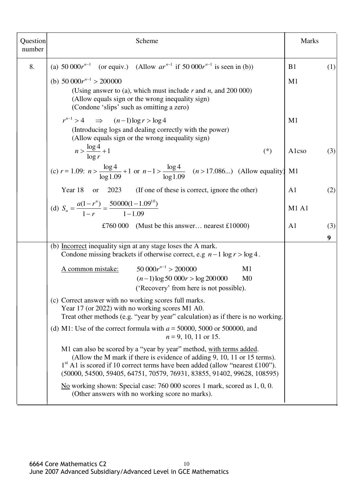| Question<br>number | Scheme                                                                                                                                                                                                                                                                                                       | <b>Marks</b>   |          |
|--------------------|--------------------------------------------------------------------------------------------------------------------------------------------------------------------------------------------------------------------------------------------------------------------------------------------------------------|----------------|----------|
| 8.                 | (a) 50 000 $r^{n-1}$ (or equiv.) (Allow $ar^{n-1}$ if 50 000 $r^{n-1}$ is seen in (b))                                                                                                                                                                                                                       | B1             | (1)      |
|                    | (b) $50\ 000r^{n-1} > 200\ 000$<br>(Using answer to (a), which must include $r$ and $n$ , and 200 000)<br>(Allow equals sign or the wrong inequality sign)<br>(Condone 'slips' such as omitting a zero)                                                                                                      | M <sub>1</sub> |          |
|                    | $r^{n-1} > 4 \implies (n-1)\log r > \log 4$<br>(Introducing logs and dealing correctly with the power)<br>(Allow equals sign or the wrong inequality sign)                                                                                                                                                   | M1             |          |
|                    | $n > \frac{\log 4}{\log r} + 1$<br>$(*)$                                                                                                                                                                                                                                                                     | Alcso          | (3)      |
|                    | (c) $r = 1.09$ : $n > \frac{\log 4}{\log 1.09} + 1$ or $n - 1 > \frac{\log 4}{\log 1.09}$ ( <i>n</i> > 17.086) (Allow equality)                                                                                                                                                                              | M1             |          |
|                    | Year 18 or<br>2023 (If one of these is correct, ignore the other)                                                                                                                                                                                                                                            | A <sub>1</sub> | (2)      |
|                    | (d) $S_n = \frac{a(1 - r^n)}{1 - r} = \frac{50000(1 - 1.09^{10})}{1 - 1.09}$                                                                                                                                                                                                                                 | <b>M1 A1</b>   |          |
|                    | £760 000 (Must be this answer nearest £10000)                                                                                                                                                                                                                                                                | A <sub>1</sub> | (3)<br>9 |
|                    | (b) Incorrect inequality sign at any stage loses the A mark.<br>Condone missing brackets if otherwise correct, e.g $n-1 \log r > \log 4$ .                                                                                                                                                                   |                |          |
|                    | $50\,000r^{n-1} > 200\,000$<br>A common mistake:<br>M1<br>$(n-1)\log 50\,000r > \log 200\,000$<br>M <sub>0</sub><br>('Recovery' from here is not possible).                                                                                                                                                  |                |          |
|                    | (c) Correct answer with no working scores full marks.<br>Year 17 (or 2022) with no working scores M1 A0.<br>Treat other methods (e.g. "year by year" calculation) as if there is no working.                                                                                                                 |                |          |
|                    | (d) M1: Use of the correct formula with $a = 50000$ , 5000 or 500000, and<br>$n = 9, 10, 11$ or 15.                                                                                                                                                                                                          |                |          |
|                    | M1 can also be scored by a "year by year" method, with terms added.<br>(Allow the M mark if there is evidence of adding 9, 10, 11 or 15 terms).<br>$1st$ A1 is scored if 10 correct terms have been added (allow "nearest £100").<br>(50000, 54500, 59405, 64751, 70579, 76931, 83855, 91402, 99628, 108595) |                |          |
|                    | No working shown: Special case: 760 000 scores 1 mark, scored as 1, 0, 0.<br>(Other answers with no working score no marks).                                                                                                                                                                                 |                |          |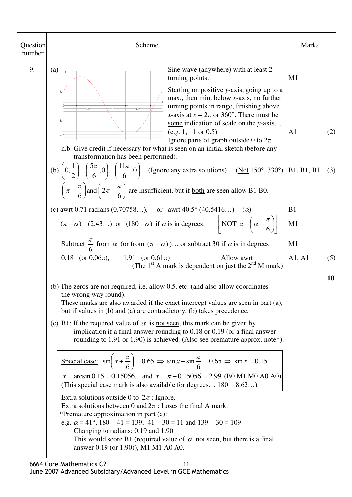| Question<br>number | Scheme                                                                                                                                                                                                                                                                                                                                                                                                                                                                                                                                                                                                                                                                                                                                                                                                                                                                                                                                                                                                                                                                                                                                                                                                                                      | <b>Marks</b>                      |  |
|--------------------|---------------------------------------------------------------------------------------------------------------------------------------------------------------------------------------------------------------------------------------------------------------------------------------------------------------------------------------------------------------------------------------------------------------------------------------------------------------------------------------------------------------------------------------------------------------------------------------------------------------------------------------------------------------------------------------------------------------------------------------------------------------------------------------------------------------------------------------------------------------------------------------------------------------------------------------------------------------------------------------------------------------------------------------------------------------------------------------------------------------------------------------------------------------------------------------------------------------------------------------------|-----------------------------------|--|
| 9.                 | Sine wave (anywhere) with at least 2<br>(a)<br>turning points.<br>Starting on positive y-axis, going up to a<br>0.5<br>max., then min. below $x$ -axis, no further<br>turning points in range, finishing above<br>3πΩ<br>x-axis at $x = 2\pi$ or 360°. There must be<br>$-0.5$<br>some indication of scale on the y-axis<br>$(e.g. 1, -1 \text{ or } 0.5)$<br>Ignore parts of graph outside 0 to $2\pi$ .<br>n.b. Give credit if necessary for what is seen on an initial sketch (before any<br>transformation has been performed).                                                                                                                                                                                                                                                                                                                                                                                                                                                                                                                                                                                                                                                                                                         | M1<br>A <sub>1</sub><br>(2)       |  |
|                    | (b) $\left(0, \frac{1}{2}\right)$ , $\left(\frac{5\pi}{6}, 0\right)$ , $\left(\frac{11\pi}{6}, 0\right)$ (Ignore any extra solutions) (Not 150°, 330°) B1, B1, B1<br>$\left(\pi-\frac{\pi}{6}\right)$ and $\left(2\pi-\frac{\pi}{6}\right)$ are insufficient, but if <u>both</u> are seen allow B1 B0.<br>(c) awrt 0.71 radians (0.70758), or awrt 40.5° (40.5416) ( $\alpha$ )<br>$(\pi - \alpha)$ (2.43) or (180- $\alpha$ ) if $\alpha$ is in degrees. $\left  \operatorname{NOT} \pi - \left( \alpha - \frac{\pi}{6} \right) \right $<br>Subtract $\frac{\pi}{6}$ from $\alpha$ (or from $(\pi - \alpha)$ ) or subtract 30 if $\alpha$ is in degrees                                                                                                                                                                                                                                                                                                                                                                                                                                                                                                                                                                                    | (3)<br>B <sub>1</sub><br>M1<br>M1 |  |
|                    | 0.18 (or $0.06\pi$ ), 1.91 (or $0.61\pi$ )<br>Allow awrt<br>(The $1st$ A mark is dependent on just the $2nd$ M mark)                                                                                                                                                                                                                                                                                                                                                                                                                                                                                                                                                                                                                                                                                                                                                                                                                                                                                                                                                                                                                                                                                                                        | A1, A1<br>(5)<br>10               |  |
|                    | (b) The zeros are not required, i.e. allow 0.5, etc. (and also allow coordinates<br>the wrong way round).<br>These marks are also awarded if the exact intercept values are seen in part (a),<br>but if values in (b) and (a) are contradictory, (b) takes precedence.<br>(c) B1: If the required value of $\alpha$ is <u>not seen</u> , this mark can be given by<br>implication if a final answer rounding to $0.18$ or $0.19$ (or a final answer<br>rounding to 1.91 or 1.90) is achieved. (Also see premature approx. note*).<br>Special case: $\sin\left(x + \frac{\pi}{6}\right) = 0.65 \implies \sin x + \sin\frac{\pi}{6} = 0.65 \implies \sin x = 0.15$<br>$x = \arcsin 0.15 = 0.15056$ and $x = \pi - 0.15056 = 2.99$ (B0 M1 M0 A0 A0)<br>(This special case mark is also available for degrees $180 - 8.62$ )<br>Extra solutions outside 0 to $2\pi$ : Ignore.<br>Extra solutions between 0 and $2\pi$ : Loses the final A mark.<br>*Premature approximation in part (c):<br>e.g. $\alpha = 41^{\circ}$ , $180 - 41 = 139$ , $41 - 30 = 11$ and $139 - 30 = 109$<br>Changing to radians: 0.19 and 1.90<br>This would score B1 (required value of $\alpha$ not seen, but there is a final<br>answer 0.19 (or 1.90)), M1 M1 A0 A0. |                                   |  |